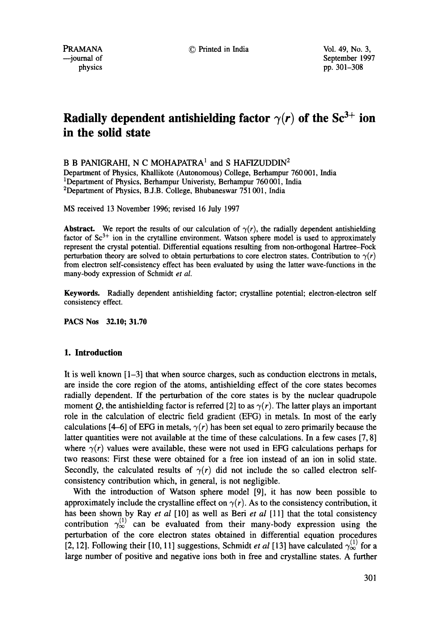--journal of September 1997 physics pp. 301-308

# **Radially dependent antishielding factor**  $\gamma(r)$  of the  $\text{Sc}^{3+}$  ion **in the solid state**

B B PANIGRAHI, N C MOHAPATRA<sup>1</sup> and S HAFIZUDDIN<sup>2</sup>

Department of Physics, Khallikote (Autonomous) College, Berhampur 760 001, India <sup>1</sup>Department of Physics, Berhampur Univeristy, Berhampur 760 001, India 2Department of Physics, B.J.B. College, Bhubaneswar 751 001, India

MS received 13 November 1996; revised 16 July 1997

**Abstract.** We report the results of our calculation of  $\gamma(r)$ , the radially dependent antishielding factor of  $Sc^{3+}$  ion in the crytalline environment. Watson sphere model is used to approximately represent the crystal potential. Differential equations resulting from non-orthogonal Hartree-Fock perturbation theory are solved to obtain perturbations to core electron states. Contribution to  $\gamma(r)$ from electron self-consistency effect has been evaluated by using the latter wave-functions in the many-body expression of Schmidt *et al.* 

**Keywords.** Radially dependent antishielding factor; crystalline potential; electron-electron self consistency effect.

**PACS Nos 32.10; 31.70** 

## **1. Introduction**

It is well known [1-3] that when source charges, such as conduction electrons in metals, are inside the core region of the atoms, antishielding effect of the core states becomes radially dependent. If the perturbation of the core states is by the nuclear quadrupole moment Q, the antishielding factor is referred [2] to as  $\gamma(r)$ . The latter plays an important role in the calculation of electric field gradient (EFG) in metals. In most of the early calculations [4-6] of EFG in metals,  $\gamma(r)$  has been set equal to zero primarily because the latter quantities were not available at the time of these calculations. In a few cases [7, 8] where  $\gamma(r)$  values were available, these were not used in EFG calculations perhaps for two reasons: First these were obtained for a free ion instead of an ion in solid state. Secondly, the calculated results of  $\gamma(r)$  did not include the so called electron selfconsistency contribution which, in general, is not negligible.

With the introduction of Watson sphere model [9], it has now been possible to approximately include the crystalline effect on  $\gamma(r)$ . As to the consistency contribution, it has been shown by Ray *et al* [10] as well as Beri *et al* [11] that the total consistency contribution  $\gamma_{\infty}^{(1)}$  can be evaluated from their many-body expression using the perturbation of the core electron states obtained in differential equation procedures [2, 12]. Following their [10, 11] suggestions, Schmidt *et al* [13] have calculated  $\gamma_{\infty}^{(1)}$  for a large number of positive and negative ions both in free and crystalline states. A further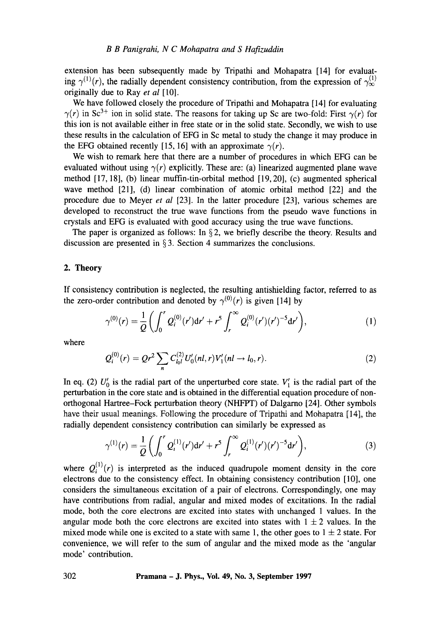extension has been subsequently made by Tripathi and Mohapatra [14] for evaluating  $\gamma^{(1)}(r)$ , the radially dependent consistency contribution, from the expression of  $\gamma^{(1)}_{\infty}$ originally due to Ray *et al* [10].

We have followed closely the procedure of Tripathi and Mohapatra [ 14] for evaluating  $\gamma(r)$  in Sc<sup>3+</sup> ion in solid state. The reasons for taking up Sc are two-fold: First  $\gamma(r)$  for this ion is not available either in free state or in the solid state. Secondly, we wish to use these results in the calculation of EFG in Sc metal to study the change it may produce in the EFG obtained recently [15, 16] with an approximate  $\gamma(r)$ .

We wish to remark here that there are a number of procedures in which EFG can be evaluated without using  $\gamma(r)$  explicitly. These are: (a) linearized augmented plane wave method [17, 18], (b) linear muffin-tin-orbital method [19, 20], (c) augmented spherical wave method [21], (d) linear combination of atomic orbital method [22] and the procedure due to Meyer *et al* [23]. In the latter procedure [23], various schemes are developed to reconstruct the true wave functions from the pseudo wave functions in crystals and EFG is evaluated with good accuracy using the true wave functions.

The paper is organized as follows: In  $\S$ 2, we briefly describe the theory. Results and discussion are presented in  $\S 3$ . Section 4 summarizes the conclusions.

# **2. Theory**

If consistency contribution is neglected, the resulting antishielding factor, referred to as the zero-order contribution and denoted by  $\gamma^{(0)}(r)$  is given [14] by

$$
\gamma^{(0)}(r) = \frac{1}{Q} \left( \int_0^r Q_i^{(0)}(r') dr' + r^5 \int_r^\infty Q_i^{(0)}(r') (r')^{-5} dr' \right),\tag{1}
$$

where

$$
Q_i^{(0)}(r) = Qr^2 \sum_n C_{l_0l}^{(2)} U_0'(nl, r) V_1'(nl \to l_0, r).
$$
 (2)

In eq. (2)  $U'_{0}$  is the radial part of the unperturbed core state.  $V'_{1}$  is the radial part of the perturbation in the core state and is obtained in the differential equation procedure of nonorthogonal Hartree-Fock perturbation theory (NHFPT) of Dalgarno [24]. Other symbols have their usual meanings. Following the procedure of Tripathi and Mohapatra [14], the radially dependent consistency contribution can similarly be expressed as

$$
\gamma^{(1)}(r) = \frac{1}{Q} \left( \int_0^r Q_i^{(1)}(r') dr' + r^5 \int_r^\infty Q_i^{(1)}(r') (r')^{-5} dr' \right),\tag{3}
$$

where  $Q_i^{(1)}(r)$  is interpreted as the induced quadrupole moment density in the core electrons due to the consistency effect. In obtaining consistency contribution [10], one considers the simultaneous excitation of a pair of electrons. Correspondingly, one may have contributions from radial, angular and mixed modes of excitations. In the radial mode, both the core electrons are excited into states with unchanged 1 values. In the angular mode both the core electrons are excited into states with  $1 \pm 2$  values. In the mixed mode while one is excited to a state with same 1, the other goes to  $1 \pm 2$  state. For convenience, we will refer to the sum of angular and the mixed mode as the 'angular mode' contribution.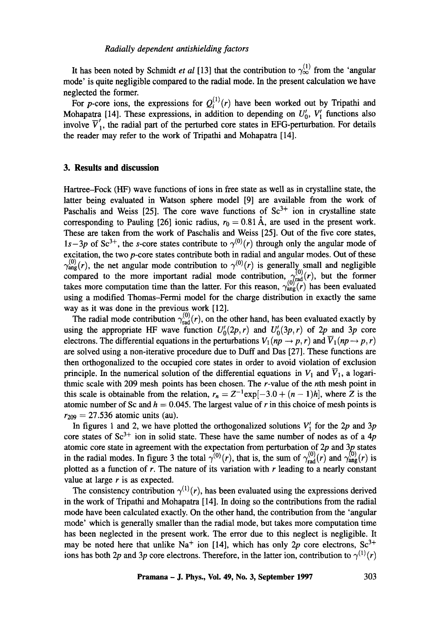It has been noted by Schmidt *et al* [13] that the contribution to  $\gamma_{\infty}^{(1)}$  from the 'angular mode' is quite negligible compared to the radial mode. In the present calculation we have neglected the former.

For p-core ions, the expressions for  $Q_i^{(1)}(r)$  have been worked out by Tripathi and Mohapatra [14]. These expressions, in addition to depending on  $U'_{0}$ ,  $V'_{1}$  functions also involve  $\overline{V}'_1$ , the radial part of the perturbed core states in EFG-perturbation. For details the reader may refer to the work of Tripathi and Mohapatra [14].

#### **3. Results and discussion**

Hartree-Fock (HF) wave functions of ions in free state as well as in crystalline state, the latter being evaluated in Watson sphere model [9] are available from the work of Paschalis and Weiss [25]. The core wave functions of  $Sc<sup>3+</sup>$  ion in crystalline state corresponding to Pauling [26] ionic radius,  $r_0 = 0.81$  Å, are used in the present work. These are taken from the work of Paschalis and Weiss [25]. Out of the five core states,  $1s-3p$  of Sc<sup>3+</sup>, the s-core states contribute to  $\gamma^{(0)}(r)$  through only the angular mode of excitation, the two p-core states contribute both in radial and angular modes. Out of these  $\gamma_{\text{ang}}^{(0)}(r)$ , the net angular mode contribution to  $\gamma^{(0)}(r)$  is generally small and negligible compared to the more important radial mode contribution,  $\gamma_{rad}^{(v)}(r)$ , but the former takes more computation time than the latter. For this reason,  $\gamma_{\text{ang}}^{(0)}(r)$  has been evaluated using a modified Thomas-Fermi model for the charge distribution in exactly the same way as it was done in the previous work [12].

The radial mode contribution  $\gamma_{rad}^{(0)}(r)$ , on the other hand, has been evaluated exactly by using the appropriate HF wave function  $U_0'(2p, r)$  and  $U_0'(3p, r)$  of 2p and 3p core electrons. The differential equations in the perturbations  $V_1(np \rightarrow p, r)$  and  $\overline{V}_1(np \rightarrow p, r)$ are solved using a non-iterative procedure due to Duff and Das [27]. These functions are then orthogonalized to the occupied core states in order to avoid violation of exclusion principle. In the numerical solution of the differential equations in  $V_1$  and  $\overline{V}_1$ , a logarithmic scale with 209 mesh points has been chosen. The r-value of the nth mesh point in this scale is obtainable from the relation,  $r_n = Z^{-1} \exp[-3.0 + (n-1)h]$ , where Z is the atomic number of Sc and  $h = 0.045$ . The largest value of r in this choice of mesh points is  $r_{209} = 27.536$  atomic units (au).

In figures 1 and 2, we have plotted the orthogonalized solutions  $V'_1$  for the 2p and 3p core states of  $Sc^{3+}$  ion in solid state. These have the same number of nodes as of a 4p atomic core state in agreement with the expectation from perturbation of  $2p$  and  $3p$  states in the radial modes. In figure 3 the total  $\gamma^{(0)}(r)$ , that is, the sum of  $\gamma^{(0)}_{rad}(r)$  and  $\gamma^{(0)}_{ang}(r)$  is plotted as a function of  $r$ . The nature of its variation with  $r$  leading to a nearly constant value at large  $r$  is as expected.

The consistency contribution  $\gamma^{(1)}(r)$ , has been evaluated using the expressions derived in the work of Tripathi and Mohapatra [14]. In doing so the contributions from the radial mode have been calculated exactly. On the other hand, the contribution from the 'angular mode' which is generally smaller than the radial mode, but takes more computation time has been neglected in the present work. The error due to this neglect is negligible. It may be noted here that unlike Na<sup>+</sup> ion [14], which has only 2p core electrons, Sc<sup>3+</sup> ions has both 2p and 3p core electrons. Therefore, in the latter ion, contribution to  $\gamma^{(1)}(r)$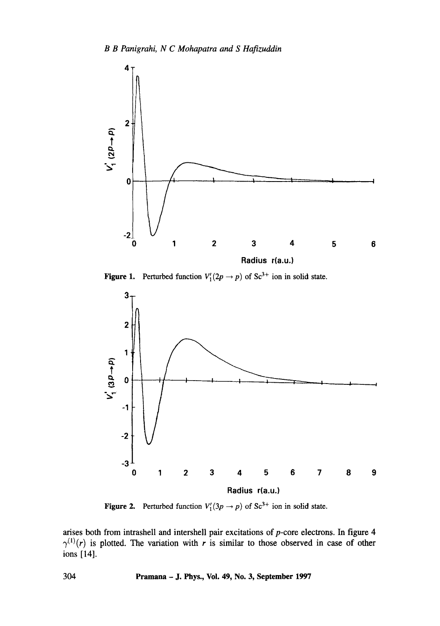

**Figure 1.** Perturbed function  $V_1(2p \rightarrow p)$  of Sc<sup>3+</sup> ion in solid state.



**Figure 2.** Perturbed function  $V_1'(3p \rightarrow p)$  of Sc<sup>3+</sup> ion in solid state.

arises both from intrashell and intershell pair excitations of p-core electrons. In figure 4  $\gamma^{(1)}(r)$  is plotted. The variation with r is similar to those observed in case of other ions [14].

304 Pramana - J. Phys., Vol. 49, No. 3, September 1997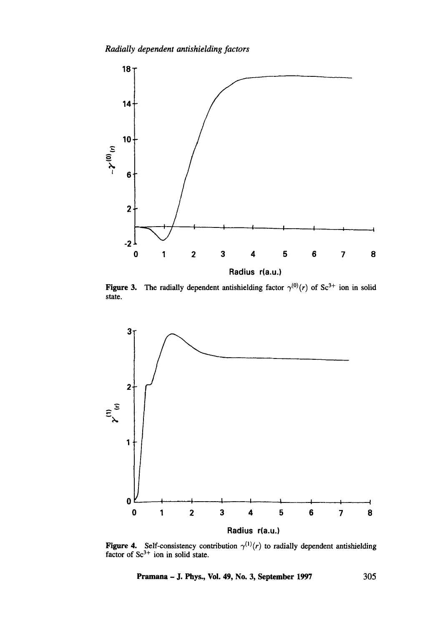

**Figure 3.** The radially dependent antishielding factor  $\gamma^{(0)}(r)$  of Sc<sup>3+</sup> ion in solid state.



**Figure 4.** Self-consistency contribution  $\gamma^{(1)}(r)$  to radially dependent antishielding factor of  $Sc<sup>3+</sup>$  ion in solid state.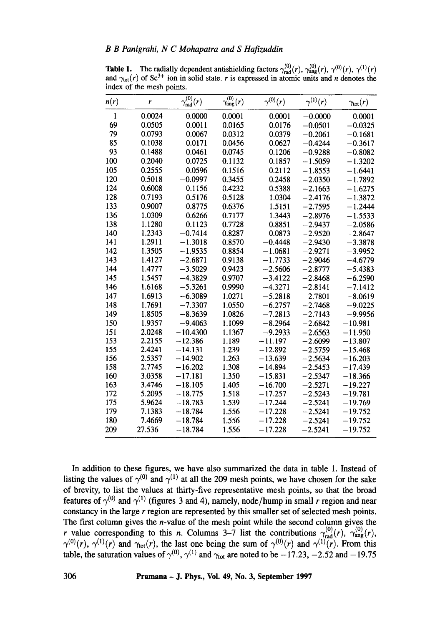**Table 1.** The radially dependent antishielding factors  $\gamma_{rad}^{(0)}(r)$ ,  $\gamma_{ang}^{(0)}(r)$ ,  $\gamma^{(0)}(r)$ ,  $\gamma^{(1)}(r)$ and  $\gamma_{tot}(r)$  of Sc<sup>3+</sup> ion in solid state, r is expressed in atomic units and n denotes the index of the mesh points.

| n(r) | r      | $\overline{\gamma_{\rm rad}^{(0)}(r)}$ | $\overline{\gamma^{(0)}_{\rm ang}}(r)$ | $\gamma^{(0)}(r)$ | $\gamma^{(1)}(r)$ | $\gamma_{\text{tot}}(r)$ |
|------|--------|----------------------------------------|----------------------------------------|-------------------|-------------------|--------------------------|
| 1    | 0.0024 | 0.0000                                 | 0.0001                                 | 0.0001            | $-0.0000$         | 0.0001                   |
| 69   | 0.0505 | 0.0011                                 | 0.0165                                 | 0.0176            | $-0.0501$         | $-0.0325$                |
| 79   | 0.0793 | 0.0067                                 | 0.0312                                 | 0.0379            | $-0.2061$         | $-0.1681$                |
| 85   | 0.1038 | 0.0171                                 | 0.0456                                 | 0.0627            | $-0.4244$         | $-0.3617$                |
| 93   | 0.1488 | 0.0461                                 | 0.0745                                 | 0.1206            | $-0.9288$         | $-0.8082$                |
| 100  | 0.2040 | 0.0725                                 | 0.1132                                 | 0.1857            | $-1.5059$         | $-1.3202$                |
| 105  | 0.2555 | 0.0596                                 | 0.1516                                 | 0.2112            | $-1.8553$         | $-1.6441$                |
| 120  | 0.5018 | $-0.0997$                              | 0.3455                                 | 0.2458            | $-2.0350$         | $-1.7892$                |
| 124  | 0.6008 | 0.1156                                 | 0.4232                                 | 0.5388            | $-2.1663$         | $-1.6275$                |
| 128  | 0.7193 | 0.5176                                 | 0.5128                                 | 1.0304            | $-2.4176$         | $-1.3872$                |
| 133  | 0.9007 | 0.8775                                 | 0.6376                                 | 1.5151            | $-2.7595$         | $-1.2444$                |
| 136  | 1.0309 | 0.6266                                 | 0.7177                                 | 1.3443            | $-2.8976$         | $-1.5533$                |
| 138  | 1.1280 | 0.1123                                 | 0.7728                                 | 0.8851            | $-2.9437$         | $-2.0586$                |
| 140  | 1.2343 | $-0.7414$                              | 0.8287                                 | 0.0873            | $-2.9520$         | $-2.8647$                |
| 141  | 1.2911 | $-1.3018$                              | 0.8570                                 | $-0.4448$         | $-2.9430$         | $-3.3878$                |
| 142  | 1.3505 | $-1.9535$                              | 0.8854                                 | $-1.0681$         | $-2.9271$         | $-3.9952$                |
| 143  | 1.4127 | $-2.6871$                              | 0.9138                                 | $-1.7733$         | $-2.9046$         | $-4.6779$                |
| 144  | 1.4777 | $-3.5029$                              | 0.9423                                 | $-2.5606$         | $-2.8777$         | $-5.4383$                |
| 145  | 1.5457 | $-4.3829$                              | 0.9707                                 | $-3.4122$         | $-2.8468$         | $-6.2590$                |
| 146  | 1.6168 | $-5.3261$                              | 0.9990                                 | $-4.3271$         | $-2.8141$         | $-7.1412$                |
| 147  | 1.6913 | $-6.3089$                              | 1.0271                                 | $-5.2818$         | $-2.7801$         | $-8.0619$                |
| 148  | 1.7691 | $-7.3307$                              | 1.0550                                 | $-6.2757$         | $-2.7468$         | $-9.0225$                |
| 149  | 1.8505 | $-8.3639$                              | 1.0826                                 | $-7.2813$         | $-2.7143$         | $-9.9956$                |
| 150  | 1.9357 | $-9.4063$                              | 1.1099                                 | $-8.2964$         | $-2.6842$         | $-10.981$                |
| 151  | 2.0248 | $-10.4300$                             | 1.1367                                 | $-9.2933$         | $-2.6563$         | $-11.950$                |
| 153  | 2.2155 | $-12.386$                              | 1.189                                  | $-11.197$         | $-2.6099$         | $-13.807$                |
| 155  | 2.4241 | $-14.131$                              | 1.239                                  | $-12.892$         | $-2.5759$         | $-15.468$                |
| 156  | 2.5357 | $-14.902$                              | 1.263                                  | $-13.639$         | $-2.5634$         | $-16.203$                |
| 158  | 2.7745 | $-16.202$                              | 1.308                                  | $-14.894$         | $-2.5453$         | $-17.439$                |
| 160  | 3.0358 | $-17.181$                              | 1.350                                  | $-15.831$         | $-2.5347$         | $-18.366$                |
| 163  | 3.4746 | $-18.105$                              | 1.405                                  | $-16.700$         | $-2.5271$         | $-19.227$                |
| 172  | 5.2095 | $-18.775$                              | 1.518                                  | $-17.257$         | $-2.5243$         | $-19.781$                |
| 175  | 5.9624 | $-18.783$                              | 1.539                                  | $-17.244$         | $-2.5241$         | $-19.769$                |
| 179  | 7.1383 | $-18.784$                              | 1.556                                  | $-17.228$         | $-2.5241$         | $-19.752$                |
| 180  | 7.4669 | $-18.784$                              | 1.556                                  | $-17.228$         | $-2.5241$         | $-19.752$                |
| 209  | 27.536 | $-18.784$                              | 1.556                                  | $-17.228$         | $-2.5241$         | $-19.752$                |

In addition to these figures, we have also summarized the data in table 1. Instead of listing the values of  $\gamma^{(0)}$  and  $\gamma^{(1)}$  at all the 209 mesh points, we have chosen for the sake of brevity, to list the values at thirty-five representative mesh points, so that the broad features of  $\gamma^{(0)}$  and  $\gamma^{(1)}$  (figures 3 and 4), namely, node/hump in small r region and near constancy in the large r region are represented by this smaller set of selected mesh points. The first column gives the n-value of the mesh point while the second column gives the r value corresponding to this n. Columns 3–7 list the contributions  $\gamma_{rad}^{(v)}(r)$ ,  $\gamma_{ang}^{(v)}(r)$ ,  $\gamma^{(0)}(r)$ ,  $\gamma^{(1)}(r)$  and  $\gamma_{\text{tot}}(r)$ , the last one being the sum of  $\gamma^{(0)}(r)$  and  $\gamma^{(1)}(r)$ . From this table, the saturation values of  $\gamma^{(0)}$ ,  $\gamma^{(1)}$  and  $\gamma_{tot}$  are noted to be  $-17.23$ ,  $-2.52$  and  $-19.75$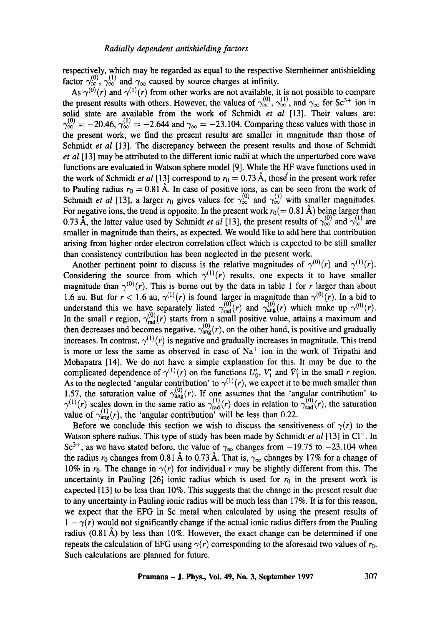respectively, which may be regarded as equal to the respective Sternheimer antishielding factor  $\gamma_{\infty}^{(0)}$ ,  $\gamma_{\infty}^{(1)}$  and  $\gamma_{\infty}$  caused by source charges at infinity.

As  $\gamma^{(0)}(r)$  and  $\gamma^{(1)}(r)$  from other works are not available, it is not possible to compare the present results with others. However, the values of  $\gamma_{\infty}^{\infty}$ ,  $\gamma_{\infty}^{\infty}$ , and  $\gamma_{\infty}$  for Sc<sup>3+</sup> ion in solid state are available from the work of Schmidt *et al* [13]. Their values are:  $\gamma_{\infty}^{(0)} = -20.46$ ,  $\gamma_{\infty}^{(1)} = -2.644$  and  $\gamma_{\infty} = -23.104$ . Comparing these values with those in the present work, we find the present results are smaller in magnitude than those of Schmidt *et al* [13]. The discrepancy between the present results and those of Schmidt *et al* [13] may be attributed to the different ionic radii at which the unperturbed core wave functions are evaluated in Watson sphere model [9]. While the HF wave functions used in the work of Schmidt *et al* [13] correspond to  $r_0 = 0.73$  Å, those in the present work refer to Pauling radius  $r_0 = 0.81 \text{ Å}$ . In case of positive ions, as can be seen from the work of Schmidt *et al* [13], a larger  $r_0$  gives values for  $\gamma_{\infty}^{(0)}$  and  $\gamma_{\infty}^{(1)}$  with smaller magnitudes. For negative ions, the trend is opposite. In the present work  $r_0 (= 0.81 \text{ Å})$  being larger than 0.73 Å, the latter value used by Schmidt *et al* [13], the present results of  $\gamma_{\infty}^{(0)}$  and  $\gamma_{\infty}^{(1)}$  are smaller in magnitude than theirs, as expected. We would like to add here that contribution arising from higher order electron correlation effect which is expected to be still smaller than consistency contribution has been neglected in the present work.

Another pertinent point to discuss is the relative magnitudes of  $\gamma^{(0)}(r)$  and  $\gamma^{(1)}(r)$ . Considering the source from which  $\gamma^{(1)}(r)$  results, one expects it to have smaller magnitude than  $\gamma^{(0)}(r)$ . This is borne out by the data in table 1 for r larger than about 1.6 au. But for  $r < 1.6$  au,  $\gamma^{(1)}(r)$  is found larger in magnitude than  $\gamma^{(0)}(r)$ . In a bid to understand this we have separately listed  $\gamma_{rad}^{(r)}(r)$  and  $\gamma_{ang}^{(r)}(r)$  which make up  $\gamma^{(r)}(r)$ . In the small r region,  $\gamma_{\text{rad}}^{(0)}(r)$  starts from a small positive value, attains a maximum and then decreases and becomes negative.  $\gamma_{\text{ang}}^{(0)}(r)$ , on the other hand, is positive and gradually increases. In contrast,  $\gamma^{(1)}(r)$  is negative and gradually increases in magnitude. This trend is more or less the same as observed in case of  $Na<sup>+</sup>$  ion in the work of Tripathi and Mohapatra [14]. We do not have a simple explanation for this. It may be due to the complicated dependence of  $\gamma^{(1)}(r)$  on the functions  $U'_0$ ,  $V'_1$  and  $\bar{V}'_1$  in the small r region. As to the neglected 'angular contribution' to  $\gamma^{(1)}(r)$ , we expect it to be much smaller than 1.57, the saturation value of  $\gamma_{\text{ang}}^{\text{V}}(r)$ . If one assumes that the 'angular contribution' to  $\gamma^{(1)}(r)$  scales down in the same ratio as  $\gamma^{(1)}_{rad}(r)$  does in relation to  $\gamma^{(0)}_{rad}(r)$ , the saturation value of  $\gamma_{\text{ang}}^{(1)}(r)$ , the 'angular contribution' will be less than 0.22.

Before we conclude this section we wish to discuss the sensitiveness of  $\gamma(r)$  to the Watson sphere radius. This type of study has been made by Schmidt *et al* [13] in Cl<sup>-</sup>. In Sc<sup>3+</sup>, as we have stated before, the value of  $\gamma_{\infty}$  changes from -19.75 to -23.104 when the radius  $r_0$  changes from 0.81 Å to 0.73 Å. That is,  $\gamma_\infty$  changes by 17% for a change of 10% in  $r_0$ . The change in  $\gamma(r)$  for individual r may be slightly different from this. The uncertainty in Pauling  $[26]$  ionic radius which is used for  $r_0$  in the present work is expected [13] to be less than 10%. This suggests that the change in the present result due to any uncertainty in Pauling ionic radius will be much less than 17%. It is for this reason, we expect that the EFG in Sc metal when calculated by using the present results of  $1 - \gamma(r)$  would not significantly change if the actual ionic radius differs from the Pauling radius (0.81  $\AA$ ) by less than 10%. However, the exact change can be determined if one repeats the calculation of EFG using  $\gamma(r)$  corresponding to the aforesaid two values of  $r_0$ . Such calculations are planned for future.